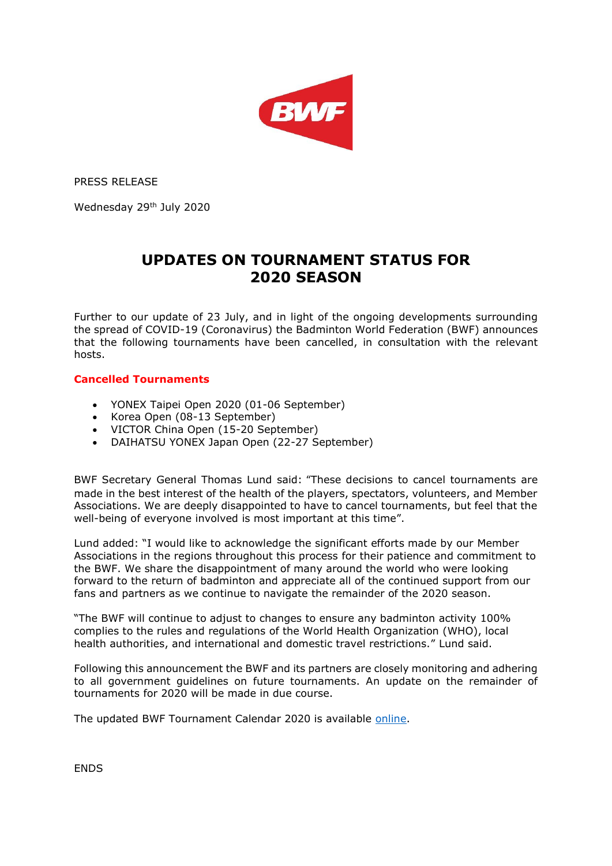

PRESS RELEASE

Wednesday 29<sup>th</sup> July 2020

## **UPDATES ON TOURNAMENT STATUS FOR 2020 SEASON**

Further to our update of 23 July, and in light of the ongoing developments surrounding the spread of COVID-19 (Coronavirus) the Badminton World Federation (BWF) announces that the following tournaments have been cancelled, in consultation with the relevant hosts.

## **Cancelled Tournaments**

- YONEX Taipei Open 2020 (01-06 September)
- Korea Open (08-13 September)
- VICTOR China Open (15-20 September)
- DAIHATSU YONEX Japan Open (22-27 September)

BWF Secretary General Thomas Lund said: "These decisions to cancel tournaments are made in the best interest of the health of the players, spectators, volunteers, and Member Associations. We are deeply disappointed to have to cancel tournaments, but feel that the well-being of everyone involved is most important at this time".

Lund added: "I would like to acknowledge the significant efforts made by our Member Associations in the regions throughout this process for their patience and commitment to the BWF. We share the disappointment of many around the world who were looking forward to the return of badminton and appreciate all of the continued support from our fans and partners as we continue to navigate the remainder of the 2020 season.

"The BWF will continue to adjust to changes to ensure any badminton activity 100% complies to the rules and regulations of the World Health Organization (WHO), local health authorities, and international and domestic travel restrictions." Lund said.

Following this announcement the BWF and its partners are closely monitoring and adhering to all government guidelines on future tournaments. An update on the remainder of tournaments for 2020 will be made in due course.

The updated BWF Tournament Calendar 2020 is available [online.](https://bwfbadminton.com/calendar/2020/remaining/)

ENDS